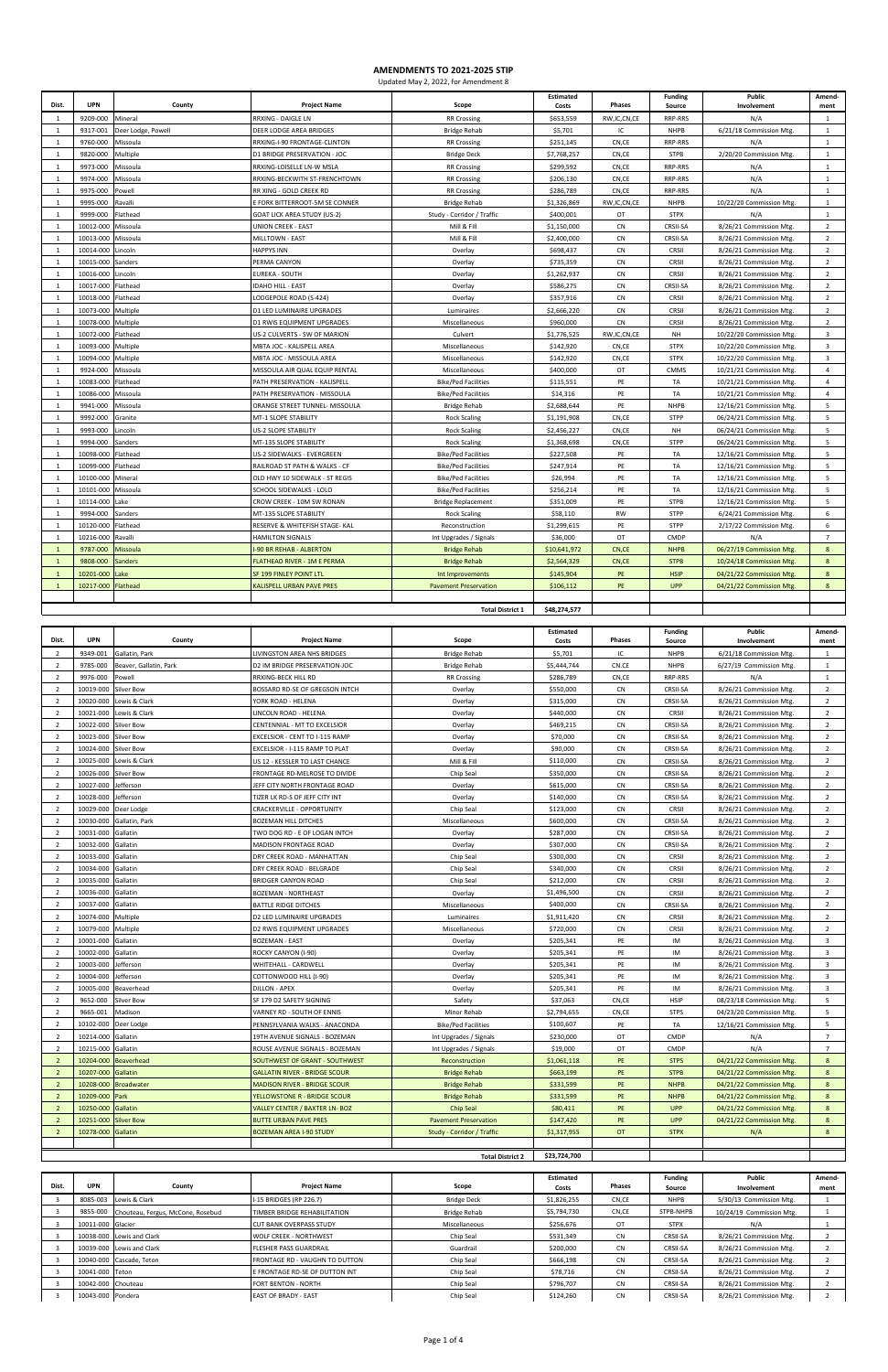| Dist.          | <b>UPN</b>         | County             | <b>Project Name</b>                | Scope                        | Estimated<br>Costs | Phases         | <b>Funding</b><br>Source | Public<br>Involvement    | Amend-<br>ment |
|----------------|--------------------|--------------------|------------------------------------|------------------------------|--------------------|----------------|--------------------------|--------------------------|----------------|
| $\overline{1}$ | 9209-000           | Mineral            | RRXING - DAIGLE LN                 | <b>RR Crossing</b>           | \$653,559          | RW, IC, CN, CE | RRP-RRS                  | N/A                      | $\mathbf{1}$   |
| $\overline{1}$ | 9317-001           | Deer Lodge, Powell | DEER LODGE AREA BRIDGES            | <b>Bridge Rehab</b>          | \$5,701            | IC             | <b>NHPB</b>              | 6/21/18 Commission Mtg.  | $\mathbf{1}$   |
| 1              | 9760-000           | Missoula           | RRXING-I-90 FRONTAGE-CLINTON       | <b>RR Crossing</b>           | \$251,145          | CN,CE          | <b>RRP-RRS</b>           | N/A                      | $\mathbf{1}$   |
| 1              | 9820-000           | Multiple           | D1 BRIDGE PRESERVATION - JOC       | <b>Bridge Deck</b>           | \$7,768,257        | CN,CE          | <b>STPB</b>              | 2/20/20 Commission Mtg.  | $\mathbf{1}$   |
| $\overline{1}$ | 9973-000           | Missoula           | RRXING-LOISELLE LN-W MSLA          | <b>RR Crossing</b>           | \$299,592          | CN,CE          | RRP-RRS                  | N/A                      | $\mathbf{1}$   |
| $\overline{1}$ | 9974-000           | Missoula           | RRXING-BECKWITH ST-FRENCHTOWN      | <b>RR Crossing</b>           | \$206,130          | CN,CE          | <b>RRP-RRS</b>           | N/A                      | 1              |
| $\mathbf{1}$   | 9975-000           | Powell             | RR XING - GOLD CREEK RD            | <b>RR Crossing</b>           | \$286,789          | CN,CE          | RRP-RRS                  | N/A                      | $\mathbf{1}$   |
| 1              | 9995-000           | Ravalli            | E FORK BITTERROOT-5M SE CONNER     | <b>Bridge Rehab</b>          | \$1,326,869        | RW, IC, CN, CE | <b>NHPB</b>              | 10/22/20 Commission Mtg. | 1              |
| $\overline{1}$ | 9999-000           | Flathead           | <b>GOAT LICK AREA STUDY (US-2)</b> | Study - Corridor / Traffic   | \$400,001          | OT             | <b>STPX</b>              | N/A                      | $\mathbf{1}$   |
| 1              | 10012-000          | Missoula           | <b>UNION CREEK - EAST</b>          | Mill & Fill                  | \$1,150,000        | CN             | CRSII-SA                 | 8/26/21 Commission Mtg.  | $\overline{2}$ |
| $\overline{1}$ | 10013-000          | Missoula           | MILLTOWN - EAST                    | Mill & Fill                  | \$2,400,000        | CN             | CRSII-SA                 | 8/26/21 Commission Mtg.  | $\overline{2}$ |
| - 1            | 10014-000          | Lincoln            | <b>HAPPYS INN</b>                  | Overlay                      | \$698,437          | CN             | CRSII                    | 8/26/21 Commission Mtg.  | $\overline{2}$ |
| 1              | 10015-000          | Sanders            | PERMA CANYON                       | Overlay                      | \$735,359          | CN             | CRSII                    | 8/26/21 Commission Mtg.  | $\overline{2}$ |
| 1              | 10016-000          | Lincoln            | <b>EUREKA - SOUTH</b>              | Overlay                      | \$1,262,937        | ${\sf CN}$     | CRSII                    | 8/26/21 Commission Mtg.  | $\overline{2}$ |
| 1              | 10017-000 Flathead |                    | <b>IDAHO HILL - EAST</b>           | Overlay                      | \$586,275          | ${\sf CN}$     | CRSII-SA                 | 8/26/21 Commission Mtg.  | $\overline{2}$ |
| -1             | 10018-000          | Flathead           | LODGEPOLE ROAD (S-424)             | Overlay                      | \$357,916          | CN             | CRSII                    | 8/26/21 Commission Mtg.  | $\overline{2}$ |
| $\overline{1}$ | 10073-000 Multiple |                    | <b>D1 LED LUMINAIRE UPGRADES</b>   | Luminaires                   | \$2,666,220        | <b>CN</b>      | CRSII                    | 8/26/21 Commission Mtg.  | $\overline{2}$ |
| 1              | 10078-000          | Multiple           | D1 RWIS EQUIPMENT UPGRADES         | Miscellaneous                | \$960,000          | CN             | CRSII                    | 8/26/21 Commission Mtg.  | $\overline{2}$ |
| $\overline{1}$ | 10072-000          | Flathead           | US-2 CULVERTS - SW OF MARION       | Culvert                      | \$1,776,525        | RW, IC, CN, CE | <b>NH</b>                | 10/22/20 Commission Mtg. | $\overline{3}$ |
| -1             | 10093-000          | Multiple           | MBTA JOC - KALISPELL AREA          | Miscellaneous                | \$142,920          | CN,CE          | <b>STPX</b>              | 10/22/20 Commission Mtg. | $\overline{3}$ |
| $\overline{1}$ | 10094-000          | Multiple           | MBTA JOC - MISSOULA AREA           | Miscellaneous                | \$142,920          | CN,CE          | <b>STPX</b>              | 10/22/20 Commission Mtg. | 3              |
| 1              | 9924-000           | Missoula           | MISSOULA AIR QUAL EQUIP RENTAL     | Miscellaneous                | \$400,000          | OT             | <b>CMMS</b>              | 10/21/21 Commission Mtg. | $\overline{4}$ |
| 1              | 10083-000          | Flathead           | PATH PRESERVATION - KALISPELL      | <b>Bike/Ped Facilities</b>   | \$115,551          | PE             | TA                       | 10/21/21 Commission Mtg. | $\overline{4}$ |
| $\mathbf{1}$   | 10086-000          | Missoula           | PATH PRESERVATION - MISSOULA       | <b>Bike/Ped Facilities</b>   | \$14,316           | PE             | TA                       | 10/21/21 Commission Mtg. | $\overline{4}$ |
| $\overline{1}$ | 9941-000           | Missoula           | ORANGE STREET TUNNEL- MISSOULA     | <b>Bridge Rehab</b>          | \$2,688,644        | PE             | <b>NHPB</b>              | 12/16/21 Commission Mtg. | 5              |
| 1              | 9992-000           | Granite            | MT-1 SLOPE STABILITY               | <b>Rock Scaling</b>          | \$1,191,908        | CN,CE          | <b>STPP</b>              | 06/24/21 Commission Mtg. | 5              |
| $\overline{1}$ | 9993-000           | Lincoln            | US-2 SLOPE STABILITY               | <b>Rock Scaling</b>          | \$2,456,227        | CN,CE          | <b>NH</b>                | 06/24/21 Commission Mtg. | 5              |
| $\overline{1}$ | 9994-000           | Sanders            | MT-135 SLOPE STABILITY             | <b>Rock Scaling</b>          | \$1,368,698        | CN,CE          | <b>STPP</b>              | 06/24/21 Commission Mtg. | 5              |
| 1              | 10098-000          | Flathead           | US-2 SIDEWALKS - EVERGREEN         | <b>Bike/Ped Facilities</b>   | \$227,508          | PE             | <b>TA</b>                | 12/16/21 Commission Mtg. | 5              |
| 1              | 10099-000          | Flathead           | RAILROAD ST PATH & WALKS - CF      | <b>Bike/Ped Facilities</b>   | \$247,914          | PE             | TA                       | 12/16/21 Commission Mtg. | 5              |
| 1              | 10100-000 Mineral  |                    | OLD HWY 10 SIDEWALK - ST REGIS     | <b>Bike/Ped Facilities</b>   | \$26,994           | PE             | TA                       | 12/16/21 Commission Mtg. | 5              |
| $\overline{1}$ | 10101-000 Missoula |                    | SCHOOL SIDEWALKS - LOLO            | <b>Bike/Ped Facilities</b>   | \$256,214          | PE             | TA                       | 12/16/21 Commission Mtg. | 5              |
| 1              | 10114-000          | Lake               | CROW CREEK - 10M SW RONAN          | <b>Bridge Replacement</b>    | \$351,009          | PE             | <b>STPB</b>              | 12/16/21 Commission Mtg. | 5              |
| $\mathbf{1}$   | 9994-000           | Sanders            | MT-135 SLOPE STABILITY             | <b>Rock Scaling</b>          | \$58,110           | <b>RW</b>      | <b>STPP</b>              | 6/24/21 Commission Mtg.  | 6              |
| -1             | 10120-000          | Flathead           | RESERVE & WHITEFISH STAGE- KAL     | Reconstruction               | \$1,299,615        | PE             | <b>STPP</b>              | 2/17/22 Commission Mtg.  | 6              |
| $\overline{1}$ | 10216-000          | Ravalli            | <b>HAMILTON SIGNALS</b>            | Int Upgrades / Signals       | \$36,000           | OT             | <b>CMDP</b>              | N/A                      | $\overline{7}$ |
| $\mathbf{1}$   | 9787-000           | Missoula           | -90 BR REHAB - ALBERTON            | <b>Bridge Rehab</b>          | \$10,641,972       | CN,CE          | <b>NHPB</b>              | 06/27/19 Commission Mtg. | 8              |
| $\overline{1}$ | 9808-000           | <b>Sanders</b>     | FLATHEAD RIVER - 1M E PERMA        | <b>Bridge Rehab</b>          | \$2,564,329        | CN,CE          | <b>STPB</b>              | 10/24/18 Commission Mtg. | 8              |
| -1             | 10201-000          | Lake               | SF 199 FINLEY POINT LTL            | Int Improvements             | \$145,904          | PE             | <b>HSIP</b>              | 04/21/22 Commission Mtg. | 8              |
| $\mathbf{1}$   | 10217-000          | Flathead           | <b>KALISPELL URBAN PAVE PRES</b>   | <b>Pavement Preservation</b> | \$106,112          | PE             | <b>UPP</b>               | 04/21/22 Commission Mtg. | 8              |
|                |                    |                    |                                    |                              |                    |                |                          |                          |                |
|                |                    |                    |                                    | <b>Total District 1</b>      | \$48,274,577       |                |                          |                          |                |

|                |            |                        |                                      |                              | <b>Estimated</b> |           | <b>Funding</b>  | Public                   | Amend-                  |
|----------------|------------|------------------------|--------------------------------------|------------------------------|------------------|-----------|-----------------|--------------------------|-------------------------|
| Dist.          | <b>UPN</b> | County                 | <b>Project Name</b>                  | Scope                        | Costs            | Phases    | Source          | Involvement              | ment                    |
| $\overline{2}$ | 9349-001   | Gallatin, Park         | <b>LIVINGSTON AREA NHS BRIDGES</b>   | <b>Bridge Rehab</b>          | \$5,701          | IC        | <b>NHPB</b>     | 6/21/18 Commission Mtg.  | 1                       |
| $\overline{2}$ | 9785-000   | Beaver, Gallatin, Park | D2 IM BRIDGE PRESERVATION-JOC        | <b>Bridge Rehab</b>          | \$5,444,744      | CN.CE     | <b>NHPB</b>     | 6/27/19 Commission Mtg.  | 1                       |
| $\overline{2}$ | 9976-000   | Powell                 | RRXING-BECK HILL RD                  | <b>RR Crossing</b>           | \$286,789        | CN,CE     | <b>RRP-RRS</b>  | N/A                      | 1                       |
| $\overline{z}$ | 10019-000  | Silver Bow             | BOSSARD RD-SE OF GREGSON INTCH       | Overlay                      | \$550,000        | <b>CN</b> | CRSII-SA        | 8/26/21 Commission Mtg.  | $\overline{2}$          |
| $\overline{2}$ | 10020-000  | Lewis & Clark          | YORK ROAD - HELENA                   | Overlay                      | \$315,000        | CN        | CRSII-SA        | 8/26/21 Commission Mtg.  | $\overline{2}$          |
| $\overline{2}$ | 10021-000  | Lewis & Clark          | LINCOLN ROAD - HELENA                | Overlay                      | \$440,000        | <b>CN</b> | CRSII           | 8/26/21 Commission Mtg.  | $\overline{2}$          |
| $\overline{2}$ | 10022-000  | Silver Bow             | CENTENNIAL - MT TO EXCELSIOR         | Overlay                      | \$469,215        | CN        | CRSII-SA        | 8/26/21 Commission Mtg.  | $\overline{2}$          |
| $\overline{2}$ | 10023-000  | Silver Bow             | EXCELSIOR - CENT TO I-115 RAMP       | Overlay                      | \$70,000         | CN        | CRSII-SA        | 8/26/21 Commission Mtg.  | $\overline{2}$          |
| $\overline{2}$ | 10024-000  | <b>Silver Bow</b>      | EXCELSIOR - I-115 RAMP TO PLAT       | Overlay                      | \$90,000         | <b>CN</b> | <b>CRSII-SA</b> | 8/26/21 Commission Mtg.  | $\overline{2}$          |
| $\overline{2}$ | 10025-000  | Lewis & Clark          | US 12 - KESSLER TO LAST CHANCE       | Mill & Fill                  | \$110,000        | CN        | CRSII-SA        | 8/26/21 Commission Mtg.  | $\overline{2}$          |
| $\overline{2}$ | 10026-000  | <b>Silver Bow</b>      | FRONTAGE RD-MELROSE TO DIVIDE        | Chip Seal                    | \$350,000        | CN        | CRSII-SA        | 8/26/21 Commission Mtg.  | $\overline{2}$          |
| $\overline{2}$ | 10027-000  | Jefferson              | JEFF CITY NORTH FRONTAGE ROAD        | Overlay                      | \$615,000        | <b>CN</b> | CRSII-SA        | 8/26/21 Commission Mtg.  | $\overline{2}$          |
| $\overline{2}$ | 10028-000  | Jefferson              | TIZER LK RD-S OF JEFF CITY INT       | Overlay                      | \$140,000        | CN        | CRSII-SA        | 8/26/21 Commission Mtg.  | $\overline{2}$          |
| $\overline{2}$ | 10029-000  | Deer Lodge             | CRACKERVILLE - OPPORTUNITY           | Chip Seal                    | \$123,000        | CN        | CRSII           | 8/26/21 Commission Mtg.  | $\overline{2}$          |
| $\overline{2}$ | 10030-000  | Gallatin, Park         | <b>BOZEMAN HILL DITCHES</b>          | Miscellaneous                | \$600,000        | CN        | CRSII-SA        | 8/26/21 Commission Mtg.  | $\overline{2}$          |
| $\overline{2}$ | 10031-000  | Gallatin               | TWO DOG RD - E OF LOGAN INTCH        | Overlay                      | \$287,000        | CN        | CRSII-SA        | 8/26/21 Commission Mtg.  | $\overline{2}$          |
| $\overline{2}$ | 10032-000  | Gallatin               | MADISON FRONTAGE ROAD                | Overlay                      | \$307,000        | <b>CN</b> | CRSII-SA        | 8/26/21 Commission Mtg.  | $\overline{2}$          |
| $\overline{2}$ | 10033-000  | Gallatin               | DRY CREEK ROAD - MANHATTAN           | Chip Seal                    | \$300,000        | <b>CN</b> | CRSII           | 8/26/21 Commission Mtg.  | $\overline{2}$          |
| $\overline{2}$ | 10034-000  | Gallatin               | DRY CREEK ROAD - BELGRADE            | Chip Seal                    | \$340,000        | CN        | CRSII           | 8/26/21 Commission Mtg.  | $\overline{2}$          |
| $\overline{2}$ | 10035-000  | Gallatin               | <b>BRIDGER CANYON ROAD</b>           | Chip Seal                    | \$212,000        | <b>CN</b> | CRSII           | 8/26/21 Commission Mtg.  | $\overline{2}$          |
| $\overline{2}$ | 10036-000  | Gallatin               | <b>BOZEMAN - NORTHEAST</b>           | Overlay                      | \$1,496,500      | CN        | CRSII           | 8/26/21 Commission Mtg.  | $\overline{2}$          |
| $\overline{2}$ | 10037-000  | Gallatin               | <b>BATTLE RIDGE DITCHES</b>          | Miscellaneous                | \$400,000        | <b>CN</b> | CRSII-SA        | 8/26/21 Commission Mtg.  | $\overline{2}$          |
| $\overline{2}$ | 10074-000  | Multiple               | D2 LED LUMINAIRE UPGRADES            | Luminaires                   | \$1,911,420      | CN        | CRSII           | 8/26/21 Commission Mtg.  | $\overline{2}$          |
| $\overline{2}$ | 10079-000  | Multiple               | D2 RWIS EQUIPMENT UPGRADES           | Miscellaneous                | \$720,000        | CN        | CRSII           | 8/26/21 Commission Mtg.  | $\overline{2}$          |
| $\overline{2}$ | 10001-000  | Gallatin               | <b>BOZEMAN - EAST</b>                | Overlay                      | \$205,341        | PE        | IM              | 8/26/21 Commission Mtg.  | $\overline{\mathbf{3}}$ |
| $\overline{2}$ | 10002-000  | Gallatin               | ROCKY CANYON (I-90)                  | Overlay                      | \$205,341        | PE        | IM              | 8/26/21 Commission Mtg.  | $\overline{\mathbf{3}}$ |
| $\overline{2}$ | 10003-000  | Jefferson              | WHITEHALL - CARDWELL                 | Overlay                      | \$205,341        | PE        | IM              | 8/26/21 Commission Mtg.  | $\overline{\mathbf{3}}$ |
| $\overline{2}$ | 10004-000  | Jefferson              | COTTONWOOD HILL (I-90)               | Overlay                      | \$205,341        | PE        | IM              | 8/26/21 Commission Mtg.  | $\overline{\mathbf{3}}$ |
| $\overline{2}$ | 10005-000  | Beaverhead             | <b>DILLON - APEX</b>                 | Overlay                      | \$205,341        | PE        | <b>IM</b>       | 8/26/21 Commission Mtg.  | $\overline{3}$          |
| $\overline{2}$ | 9652-000   | Silver Bow             | SF 179 D2 SAFETY SIGNING             | Safety                       | \$37,063         | CN,CE     | <b>HSIP</b>     | 08/23/18 Commission Mtg. | 5                       |
| $\overline{2}$ | 9665-001   | Madison                | VARNEY RD - SOUTH OF ENNIS           | Minor Rehab                  | \$2,794,655      | CN,CE     | <b>STPS</b>     | 04/23/20 Commission Mtg. | 5                       |
| $\overline{2}$ | 10102-000  | Deer Lodge             | PENNSYLVANIA WALKS - ANACONDA        | <b>Bike/Ped Facilities</b>   | \$100,607        | PE        | TA              | 12/16/21 Commission Mtg. | 5                       |
| $\overline{2}$ | 10214-000  | Gallatin               | 19TH AVENUE SIGNALS - BOZEMAN        | Int Upgrades / Signals       | \$230,000        | OT        | <b>CMDP</b>     | N/A                      | $7\overline{ }$         |
| $\overline{2}$ | 10215-000  | Gallatin               | ROUSE AVENUE SIGNALS - BOZEMAN       | Int Upgrades / Signals       | \$19,000         | OT        | CMDP            | N/A                      | $\overline{7}$          |
| $\overline{2}$ | 10204-000  | <b>Beaverhead</b>      | SOUTHWEST OF GRANT - SOUTHWEST       | Reconstruction               | \$1,061,118      | PE        | <b>STPS</b>     | 04/21/22 Commission Mtg. | 8                       |
| $\overline{2}$ | 10207-000  | Gallatin               | <b>GALLATIN RIVER - BRIDGE SCOUR</b> | <b>Bridge Rehab</b>          | \$663,199        | PE        | <b>STPB</b>     | 04/21/22 Commission Mtg. | 8                       |
| $\overline{2}$ | 10208-000  | <b>Broadwater</b>      | <b>MADISON RIVER - BRIDGE SCOUR</b>  | <b>Bridge Rehab</b>          | \$331,599        | PE        | <b>NHPB</b>     | 04/21/22 Commission Mtg. | 8                       |
| $\overline{2}$ | 10209-000  | Park                   | YELLOWSTONE R - BRIDGE SCOUR         | <b>Bridge Rehab</b>          | \$331,599        | PE        | <b>NHPB</b>     | 04/21/22 Commission Mtg  | 8                       |
| $\overline{2}$ | 10250-000  | Gallatin               | VALLEY CENTER / BAXTER LN- BOZ       | <b>Chip Seal</b>             | \$80,411         | PE        | <b>UPP</b>      | 04/21/22 Commission Mtg. | 8                       |
| $\overline{2}$ | 10251-000  | <b>Silver Bow</b>      | <b>BUTTE URBAN PAVE PRES</b>         | <b>Pavement Preservation</b> | \$147,420        | PE        | <b>UPP</b>      | 04/21/22 Commission Mtg. | 8                       |
| $\overline{2}$ | 10278-000  | Gallatin               | <b>BOZEMAN AREA I-90 STUDY</b>       | Study - Corridor / Traffic   | \$1,317,955      | <b>OT</b> | <b>STPX</b>     | N/A                      | 8                       |
|                |            |                        |                                      |                              |                  |           |                 |                          |                         |
|                |            |                        |                                      | <b>Total District 2</b>      | \$23,724,700     |           |                 |                          |                         |

| Dist. | <b>UPN</b>         | County                                     | <b>Project Name</b>            | Scope              | Estimated<br>Costs | <b>Phases</b> | Funding<br>Source | Public<br>Involvement    | Amend-<br>ment |
|-------|--------------------|--------------------------------------------|--------------------------------|--------------------|--------------------|---------------|-------------------|--------------------------|----------------|
|       |                    | 8085-003 Lewis & Clark                     | I-15 BRIDGES (RP 226.7)        | <b>Bridge Deck</b> | \$1,826,255        | CN,CE         | <b>NHPB</b>       | 5/30/13 Commission Mtg.  |                |
|       |                    | 9855-000 Chouteau, Fergus, McCone, Rosebud | TIMBER BRIDGE REHABILITATION   | Bridge Rehab       | \$5,794,730        | CN,CE         | STPB-NHPB         | 10/24/19 Commission Mtg. |                |
|       | 10011-000 Glacier  |                                            | <b>CUT BANK OVERPASS STUDY</b> | Miscellaneous      | \$256,676          | OT            | <b>STPX</b>       | N/A                      |                |
|       |                    | 10038-000 Lewis and Clark                  | <b>WOLF CREEK - NORTHWEST</b>  | Chip Seal          | \$531,349          | <b>CN</b>     | <b>CRSII-SA</b>   | 8/26/21 Commission Mtg.  |                |
|       |                    | 10039-000 Lewis and Clark                  | <b>FLESHER PASS GUARDRAIL</b>  | Guardrail          | \$200,000          | <b>CN</b>     | <b>CRSII-SA</b>   | 8/26/21 Commission Mtg.  |                |
|       |                    | 10040-000 Cascade, Teton                   | FRONTAGE RD - VAUGHN TO DUTTON | Chip Seal          | \$666,198          | <b>CN</b>     | <b>CRSII-SA</b>   | 8/26/21 Commission Mtg.  |                |
|       | 10041-000 Teton    |                                            | E FRONTAGE RD-SE OF DUTTON INT | Chip Seal          | \$78,716           | <b>CN</b>     | <b>CRSII-SA</b>   | 8/26/21 Commission Mtg.  |                |
|       | 10042-000 Chouteau |                                            | <b>FORT BENTON - NORTH</b>     | Chip Seal          | \$796,707          | <b>CN</b>     | <b>CRSII-SA</b>   | 8/26/21 Commission Mtg.  |                |
|       | 10043-000 Pondera  |                                            | <b>EAST OF BRADY - EAST</b>    | Chip Seal          | \$124,260          | <b>CN</b>     | <b>CRSII-SA</b>   | 8/26/21 Commission Mtg.  |                |

## **AMENDMENTS TO 2021-2025 STIP** Updated May 2, 2022, for Amendment 8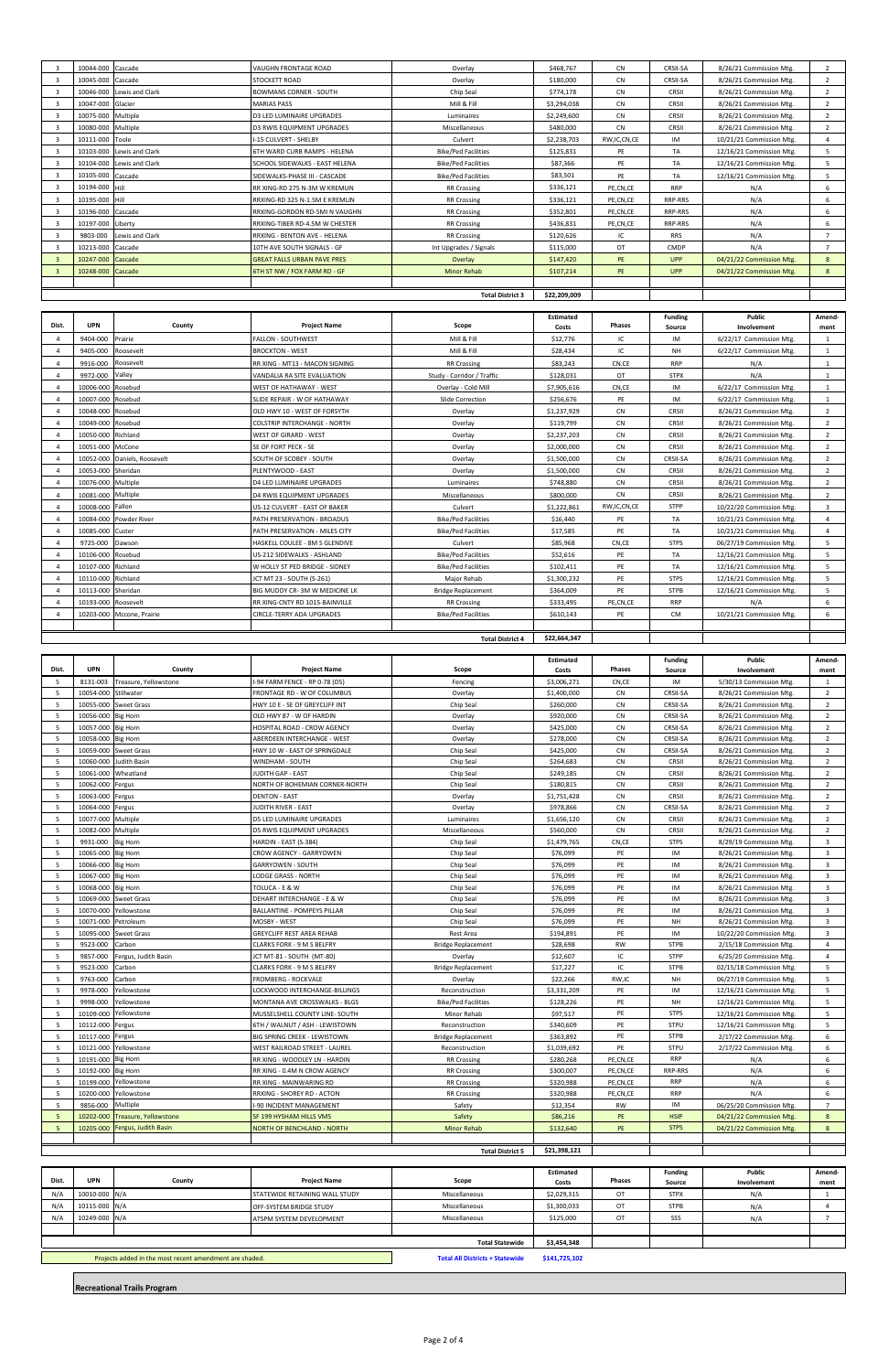| Dist. | <b>UPN</b>          | County                       | <b>Project Name</b>                 | Scope                      | Estimated<br>Costs | <b>Phases</b>  | <b>Funding</b><br>Source | Public<br>Involvement    | Amend-<br>ment |
|-------|---------------------|------------------------------|-------------------------------------|----------------------------|--------------------|----------------|--------------------------|--------------------------|----------------|
|       | 9404-000            | Prairie                      | <b>FALLON - SOUTHWEST</b>           | Mill & Fill                | \$12,776           | IC             | IM                       | 6/22/17 Commission Mtg.  | $\mathbf{1}$   |
|       | 9405-000            | Roosevelt                    | <b>BROCKTON - WEST</b>              | Mill & Fill                | \$28,434           | IC             | <b>NH</b>                | 6/22/17 Commission Mtg.  | $\mathbf{1}$   |
|       | 9916-000            | Roosevelt                    | RR XING - MT13 - MACON SIGNING      | <b>RR Crossing</b>         | \$83,243           | CN.CE          | <b>RRP</b>               | N/A                      | $\mathbf{1}$   |
|       | 9972-000            | Valley                       | VANDALIA RA SITE EVALUATION         | Study - Corridor / Traffic | \$128,031          | OT             | <b>STPX</b>              | N/A                      | $\mathbf{1}$   |
|       | 10006-000 Rosebud   |                              | <b>WEST OF HATHAWAY - WEST</b>      | Overlay - Cold Mill        | \$7,905,616        | CN,CE          | IM                       | 6/22/17 Commission Mtg.  | $\mathbf{1}$   |
|       | 10007-000 Rosebud   |                              | SLIDE REPAIR - W OF HATHAWAY        | Slide Correction           | \$256,676          | PE             | IM                       | 6/22/17 Commission Mtg.  | 1              |
|       | 10048-000 Rosebud   |                              | OLD HWY 10 - WEST OF FORSYTH        | Overlay                    | \$1,237,929        | <b>CN</b>      | CRSII                    | 8/26/21 Commission Mtg.  | $\overline{2}$ |
|       | 10049-000 Rosebud   |                              | <b>COLSTRIP INTERCHANGE - NORTH</b> | Overlay                    | \$119,799          | <b>CN</b>      | CRSII                    | 8/26/21 Commission Mtg.  | $\overline{2}$ |
|       | 10050-000 Richland  |                              | <b>WEST OF GIRARD - WEST</b>        | Overlay                    | \$2,237,203        | <b>CN</b>      | CRSII                    | 8/26/21 Commission Mtg.  | $\overline{2}$ |
|       | 10051-000 McCone    |                              | SE OF FORT PECK - SE                | Overlay                    | \$2,000,000        | CN             | CRSII                    | 8/26/21 Commission Mtg.  | $\overline{2}$ |
|       |                     | 10052-000 Daniels, Roosevelt | SOUTH OF SCOBEY - SOUTH             | Overlay                    | \$1,500,000        | <b>CN</b>      | CRSII-SA                 | 8/26/21 Commission Mtg.  | $\overline{2}$ |
|       | 10053-000 Sheridan  |                              | PLENTYWOOD - EAST                   | Overlay                    | \$1,500,000        | <b>CN</b>      | CRSII                    | 8/26/21 Commission Mtg.  | $\overline{2}$ |
|       | 10076-000 Multiple  |                              | D4 LED LUMINAIRE UPGRADES           | Luminaires                 | \$748.880          | <b>CN</b>      | CRSII                    | 8/26/21 Commission Mtg.  | $\overline{2}$ |
|       | 10081-000 Multiple  |                              | <b>D4 RWIS EQUIPMENT UPGRADES</b>   | Miscellaneous              | \$800,000          | <b>CN</b>      | CRSII                    | 8/26/21 Commission Mtg.  | $\overline{2}$ |
|       | 10008-000 Fallon    |                              | US-12 CULVERT - EAST OF BAKER       | Culvert                    | \$1,222,861        | RW, IC, CN, CE | <b>STPP</b>              | 10/22/20 Commission Mtg. | 3              |
|       |                     | 10084-000 Powder River       | PATH PRESERVATION - BROADUS         | <b>Bike/Ped Facilities</b> | \$16,440           | PE             | <b>TA</b>                | 10/21/21 Commission Mtg. | 4              |
|       | 10085-000 Custer    |                              | PATH PRESERVATION - MILES CITY      | <b>Bike/Ped Facilities</b> | \$17,585           | PE             | TA                       | 10/21/21 Commission Mtg. | 4              |
|       | 9725-000            | Dawson                       | HASKELL COULEE - 8M S GLENDIVE      | Culvert                    | \$85,968           | CN,CE          | <b>STPS</b>              | 06/27/19 Commission Mtg. | 5              |
|       | 10106-000 Rosebud   |                              | US-212 SIDEWALKS - ASHLAND          | <b>Bike/Ped Facilities</b> | \$52,616           | PE             | TA                       | 12/16/21 Commission Mtg. | 5              |
|       | 10107-000 Richland  |                              | W HOLLY ST PED BRIDGE - SIDNEY      | <b>Bike/Ped Facilities</b> | \$102,411          | PE             | <b>TA</b>                | 12/16/21 Commission Mtg. | 5              |
|       | 10110-000 Richland  |                              | JCT MT 23 - SOUTH (S-261)           | Major Rehab                | \$1,300,232        | PE             | <b>STPS</b>              | 12/16/21 Commission Mtg. | 5              |
|       | 10113-000 Sheridan  |                              | BIG MUDDY CR-3M W MEDICINE LK       | <b>Bridge Replacement</b>  | \$364,009          | PE             | <b>STPB</b>              | 12/16/21 Commission Mtg. | 5              |
|       | 10193-000 Roosevelt |                              | RR XING-CNTY RD 1015-BAINVILLE      | <b>RR Crossing</b>         | \$333,495          | PE,CN,CE       | <b>RRP</b>               | N/A                      | 6              |
|       |                     | 10203-000 Mccone, Prairie    | CIRCLE-TERRY ADA UPGRADES           | <b>Bike/Ped Facilities</b> | \$610,143          | PE             | CM                       | 10/21/21 Commission Mtg. | 6              |
|       |                     |                              |                                     |                            |                    |                |                          |                          |                |
|       |                     |                              |                                     | <b>Total District 4</b>    | \$22,664,347       |                |                          |                          |                |

|              | <b>Total District 3</b> |                           |                                    |                            |             |                |                 |                          |                |
|--------------|-------------------------|---------------------------|------------------------------------|----------------------------|-------------|----------------|-----------------|--------------------------|----------------|
|              |                         |                           |                                    |                            |             |                |                 |                          |                |
| $\mathbf{3}$ | 10248-000 Cascade       |                           | 6TH ST NW / FOX FARM RD - GF       | <b>Minor Rehab</b>         | \$107,214   | PE.            | <b>UPP</b>      | 04/21/22 Commission Mtg. | 8              |
| $\mathbf{B}$ | 10247-000 Cascade       |                           | <b>GREAT FALLS URBAN PAVE PRES</b> | Overlay                    | \$147,420   | <b>PE</b>      | <b>UPP</b>      | 04/21/22 Commission Mtg. | 8              |
|              | 10213-000 Cascade       |                           | 10TH AVE SOUTH SIGNALS - GF        | Int Upgrades / Signals     | \$115,000   | OT             | <b>CMDP</b>     | N/A                      |                |
|              | 9803-000                | Lewis and Clark           | RRXING - BENTON AVE - HELENA       | <b>RR Crossing</b>         | \$120,626   | IC             | <b>RRS</b>      | N/A                      |                |
|              | 10197-000 Liberty       |                           | RRXING-TIBER RD-4.5M W CHESTER     | RR Crossing                | \$436,831   | PE,CN,CE       | <b>RRP-RRS</b>  | N/A                      | 6              |
|              | 10196-000 Cascade       |                           | RRXING-GORDON RD-5MI N VAUGHN      | <b>RR Crossing</b>         | \$352,801   | PE,CN,CE       | <b>RRP-RRS</b>  | N/A                      | 6              |
|              | 10195-000 Hill          |                           | RRXING-RD 325 N-1.5M E KREMLIN     | <b>RR Crossing</b>         | \$336,121   | PE,CN,CE       | <b>RRP-RRS</b>  | N/A                      | 6              |
|              | 10194-000 Hill          |                           | RR XING-RD 275 N-3M W KREMLIN      | <b>RR Crossing</b>         | \$336,121   | PE,CN,CE       | <b>RRP</b>      | N/A                      | 6              |
|              | 10105-000 Cascade       |                           | SIDEWALKS-PHASE III - CASCADE      | <b>Bike/Ped Facilities</b> | \$83,501    | PE             | TA              | 12/16/21 Commission Mtg. | 5              |
|              |                         | 10104-000 Lewis and Clark | SCHOOL SIDEWALKS - EAST HELENA     | <b>Bike/Ped Facilities</b> | \$87,366    | PE             | TA              | 12/16/21 Commission Mtg. | 5              |
|              |                         | 10103-000 Lewis and Clark | 6TH WARD CURB RAMPS - HELENA       | <b>Bike/Ped Facilities</b> | \$125,831   | PE             | <b>TA</b>       | 12/16/21 Commission Mtg. | 5              |
|              | 10111-000 Toole         |                           | I-15 CULVERT - SHELBY              | Culvert                    | \$2,238,703 | RW, IC, CN, CE | IM              | 10/21/21 Commission Mtg. |                |
|              | 10080-000 Multiple      |                           | <b>D3 RWIS EQUIPMENT UPGRADES</b>  | Miscellaneous              | \$480,000   | <b>CN</b>      | CRSII           | 8/26/21 Commission Mtg.  | $\overline{2}$ |
|              | 10075-000 Multiple      |                           | <b>D3 LED LUMINAIRE UPGRADES</b>   | Luminaires                 | \$2,249,600 | CN             | CRSII           | 8/26/21 Commission Mtg.  |                |
|              | 10047-000 Glacier       |                           | <b>MARIAS PASS</b>                 | Mill & Fill                | \$3,294,038 | <b>CN</b>      | CRSII           | 8/26/21 Commission Mtg.  | 2              |
|              |                         | 10046-000 Lewis and Clark | <b>BOWMANS CORNER - SOUTH</b>      | Chip Seal                  | \$774,178   | <b>CN</b>      | CRSII           | 8/26/21 Commission Mtg.  | 2              |
|              | 10045-000 Cascade       |                           | STOCKETT ROAD                      | Overlay                    | \$180,000   | <b>CN</b>      | <b>CRSII-SA</b> | 8/26/21 Commission Mtg.  | $\overline{2}$ |
|              | 10044-000 Cascade       |                           | <b>VAUGHN FRONTAGE ROAD</b>        | Overlay                    | \$468,767   | <b>CN</b>      | CRSII-SA        | 8/26/21 Commission Mtg.  | $\overline{2}$ |

|       |                       |                       |                                    |                            | Estimated    |               | <b>Funding</b> | Public                   | Amend-                  |
|-------|-----------------------|-----------------------|------------------------------------|----------------------------|--------------|---------------|----------------|--------------------------|-------------------------|
| Dist. | <b>UPN</b>            | County                | <b>Project Name</b>                | Scope                      | Costs        | <b>Phases</b> | Source         | Involvement              | ment                    |
| -5    | 8131-003              | Treasure, Yellowstone | I-94 FARM FENCE - RP 0-78 (D5)     | Fencing                    | \$3,006,271  | CN,CE         | IM             | 5/30/13 Commission Mtg.  | $\mathbf{1}$            |
| 5     | 10054-000 Stillwater  |                       | FRONTAGE RD - W OF COLUMBUS        | Overlay                    | \$1,400,000  | <b>CN</b>     | CRSII-SA       | 8/26/21 Commission Mtg.  | $\overline{2}$          |
| 5     | 10055-000 Sweet Grass |                       | HWY 10 E - SE OF GREYCLIFF INT     | Chip Seal                  | \$260,000    | <b>CN</b>     | CRSII-SA       | 8/26/21 Commission Mtg.  | 2                       |
| 5     | 10056-000 Big Horn    |                       | OLD HWY 87 - W OF HARDIN           | Overlay                    | \$920,000    | CN            | CRSII-SA       | 8/26/21 Commission Mtg.  | $\overline{2}$          |
| 5     | 10057-000 Big Horn    |                       | HOSPITAL ROAD - CROW AGENCY        | Overlay                    | \$425,000    | CN            | CRSII-SA       | 8/26/21 Commission Mtg.  | $\overline{2}$          |
| 5     | 10058-000 Big Horn    |                       | ABERDEEN INTERCHANGE - WEST        | Overlay                    | \$278,000    | CN            | CRSII-SA       | 8/26/21 Commission Mtg.  | $\overline{2}$          |
| 5     | 10059-000 Sweet Grass |                       | HWY 10 W - EAST OF SPRINGDALE      | Chip Seal                  | \$425,000    | CN            | CRSII-SA       | 8/26/21 Commission Mtg.  | $\overline{2}$          |
| -5    | 10060-000             | <b>Judith Basin</b>   | WINDHAM - SOUTH                    | Chip Seal                  | \$264,683    | CN            | CRSII          | 8/26/21 Commission Mtg.  | 2                       |
| 5     | 10061-000 Wheatland   |                       | JUDITH GAP - EAST                  | Chip Seal                  | \$249,185    | CN            | CRSII          | 8/26/21 Commission Mtg.  | $\overline{2}$          |
| 5     | 10062-000 Fergus      |                       | NORTH OF BOHEMIAN CORNER-NORTH     | Chip Seal                  | \$180,815    | CN            | CRSII          | 8/26/21 Commission Mtg.  | $\overline{2}$          |
| 5     | 10063-000 Fergus      |                       | <b>DENTON - EAST</b>               | Overlay                    | \$1,751,428  | CN            | CRSII          | 8/26/21 Commission Mtg.  | $\overline{2}$          |
| 5     | 10064-000 Fergus      |                       | <b>JUDITH RIVER - EAST</b>         | Overlay                    | \$978,866    | CN            | CRSII-SA       | 8/26/21 Commission Mtg.  | $\overline{2}$          |
| 5     | 10077-000 Multiple    |                       | D5 LED LUMINAIRE UPGRADES          | Luminaires                 | \$1,656,120  | <b>CN</b>     | CRSII          | 8/26/21 Commission Mtg.  | 2                       |
| 5     | 10082-000 Multiple    |                       | D5 RWIS EQUIPMENT UPGRADES         | Miscellaneous              | \$560,000    | CN            | CRSII          | 8/26/21 Commission Mtg.  | $\overline{2}$          |
| 5     | 9931-000              | <b>Big Horn</b>       | HARDIN - EAST (S-384)              | Chip Seal                  | \$1,479,765  | CN,CE         | <b>STPS</b>    | 8/29/19 Commission Mtg.  | $\overline{\mathbf{3}}$ |
| 5     | 10065-000 Big Horn    |                       | <b>CROW AGENCY - GARRYOWEN</b>     | Chip Seal                  | \$76,099     | PE            | IM             | 8/26/21 Commission Mtg.  | $\overline{3}$          |
| 5     | 10066-000 Big Horn    |                       | <b>GARRYOWEN - SOUTH</b>           | Chip Seal                  | \$76,099     | PE            | IM             | 8/26/21 Commission Mtg.  | 3                       |
| 5     | 10067-000 Big Horn    |                       | LODGE GRASS - NORTH                | Chip Seal                  | \$76,099     | PE            | IM             | 8/26/21 Commission Mtg.  | $\overline{\mathbf{3}}$ |
| 5     | 10068-000 Big Horn    |                       | TOLUCA - E & W                     | Chip Seal                  | \$76,099     | PE            | IM             | 8/26/21 Commission Mtg.  | $\overline{3}$          |
| 5     |                       | 10069-000 Sweet Grass | DEHART INTERCHANGE - E & W         | Chip Seal                  | \$76,099     | PE            | IM             | 8/26/21 Commission Mtg.  | $\overline{3}$          |
| 5     | 10070-000             | Yellowstone           | <b>BALLANTINE - POMPEYS PILLAR</b> | Chip Seal                  | \$76,099     | PE            | IM             | 8/26/21 Commission Mtg.  | $\overline{\mathbf{3}}$ |
| 5     | 10071-000 Petroleum   |                       | MOSBY - WEST                       | Chip Seal                  | \$76,099     | PE            | <b>NH</b>      | 8/26/21 Commission Mtg.  | 3                       |
| 5     | 10095-000 Sweet Grass |                       | <b>GREYCLIFF REST AREA REHAB</b>   | Rest Area                  | \$194,891    | PE            | IM             | 10/22/20 Commission Mtg. | $\overline{3}$          |
| 5     | 9523-000              | Carbon                | CLARKS FORK - 9 M S BELFRY         | <b>Bridge Replacement</b>  | \$28,698     | <b>RW</b>     | <b>STPB</b>    | 2/15/18 Commission Mtg.  | $\overline{4}$          |
| 5     | 9857-000              | Fergus, Judith Basin  | JCT MT-81 - SOUTH (MT-80)          | Overlay                    | \$12,607     | IC            | <b>STPP</b>    | 6/25/20 Commission Mtg.  | $\overline{4}$          |
| 5     | 9523-000              | Carbon                | CLARKS FORK - 9 M S BELFRY         | <b>Bridge Replacement</b>  | \$17,227     | IC            | <b>STPB</b>    | 02/15/18 Commission Mtg. | 5                       |
| 5     | 9763-000              | Carbon                | FROMBERG - ROCKVALE                | Overlay                    | \$22,266     | RW,IC         | <b>NH</b>      | 06/27/19 Commission Mtg. | 5                       |
| 5     | 9978-000              | Yellowstone           | LOCKWOOD INTERCHANGE-BILLINGS      | Reconstruction             | \$3,331,209  | PE            | IM             | 12/16/21 Commission Mtg. | 5                       |
| 5     | 9998-000              | Yellowstone           | MONTANA AVE CROSSWALKS - BLGS      | <b>Bike/Ped Facilities</b> | \$128,226    | PE            | <b>NH</b>      | 12/16/21 Commission Mtg. | 5                       |
| 5     | 10109-000             | Yellowstone           | MUSSELSHELL COUNTY LINE- SOUTH     | Minor Rehab                | \$97,517     | PE            | <b>STPS</b>    | 12/16/21 Commission Mtg. | 5                       |
| 5     | 10112-000 Fergus      |                       | 6TH / WALNUT / ASH - LEWISTOWN     | Reconstruction             | \$340,609    | PE            | STPU           | 12/16/21 Commission Mtg. | 5                       |
| 5     | 10117-000 Fergus      |                       | BIG SPRING CREEK - LEWISTOWN       | <b>Bridge Replacement</b>  | \$363,892    | PE            | <b>STPB</b>    | 2/17/22 Commission Mtg.  | 6                       |
| -5    | 10121-000             | Yellowstone           | WEST RAILROAD STREET - LAUREL      | Reconstruction             | \$1,039,692  | PE            | STPU           | 2/17/22 Commission Mtg.  | 6                       |
| 5     | 10191-000 Big Horn    |                       | RR XING - WOODLEY LN - HARDIN      | <b>RR Crossing</b>         | \$280,268    | PE,CN,CE      | <b>RRP</b>     | N/A                      | 6                       |
| -5    | 10192-000 Big Horn    |                       | RR XING - 0.4M N CROW AGENCY       | <b>RR Crossing</b>         | \$300,007    | PE,CN,CE      | RRP-RRS        | N/A                      | 6                       |
| 5     | 10199-000             | Yellowstone           | RR XING - MAINWARING RD            | <b>RR Crossing</b>         | \$320,988    | PE,CN,CE      | <b>RRP</b>     | N/A                      | 6                       |
| 5     | 10200-000             | Yellowstone           | RRXING - SHOREY RD - ACTON         | <b>RR Crossing</b>         | \$320,988    | PE,CN,CE      | <b>RRP</b>     | N/A                      | 6                       |
| 5     | 9856-000              | Multiple              | I-90 INCIDENT MANAGEMENT           | Safety                     | \$12,354     | RW            | IM             | 06/25/20 Commission Mtg. | $\overline{7}$          |
| 5     | 10202-000             | Treasure, Yellowstone | SF 199 HYSHAM HILLS VMS            | Safety                     | \$86,216     | PE            | <b>HSIP</b>    | 04/21/22 Commission Mtg. | 8                       |
| 5     | 10205-000             | Fergus, Judith Basin  | <b>NORTH OF BENCHLAND - NORTH</b>  | <b>Minor Rehab</b>         | \$132,640    | PE            | <b>STPS</b>    | 04/21/22 Commission Mtg. | 8                       |
|       |                       |                       |                                    |                            |              |               |                |                          |                         |
|       |                       |                       |                                    | <b>Total District 5</b>    | \$21,398,121 |               |                |                          |                         |

| Dist.                                                   | <b>UPN</b>    | County | <b>Project Name</b>                    | Scope         | Estimated<br>Costs | Phases | <b>Funding</b><br>Source | Public<br>Involvement | Amend-<br>ment |
|---------------------------------------------------------|---------------|--------|----------------------------------------|---------------|--------------------|--------|--------------------------|-----------------------|----------------|
| N/A                                                     | 10010-000 N/A |        | STATEWIDE RETAINING WALL STUDY         | Miscellaneous | \$2,029,315        | OT     | <b>STPX</b>              | N/A                   |                |
| N/A                                                     | 10115-000 N/A |        | OFF-SYSTEM BRIDGE STUDY                | Miscellaneous | \$1,300,033        | OT     | <b>STPB</b>              | N/A                   |                |
| N/A                                                     | 10249-000 N/A |        | ATSPM SYSTEM DEVELOPMENT               | Miscellaneous | \$125,000          | OT     | SSS                      | N/A                   |                |
|                                                         |               |        |                                        |               |                    |        |                          |                       |                |
| <b>Total Statewide</b>                                  |               |        |                                        | \$3,454,348   |                    |        |                          |                       |                |
| Projects added in the most recent amendment are shaded. |               |        | <b>Total All Districts + Statewide</b> | \$141,725,102 |                    |        |                          |                       |                |

**Recreational Trails Program**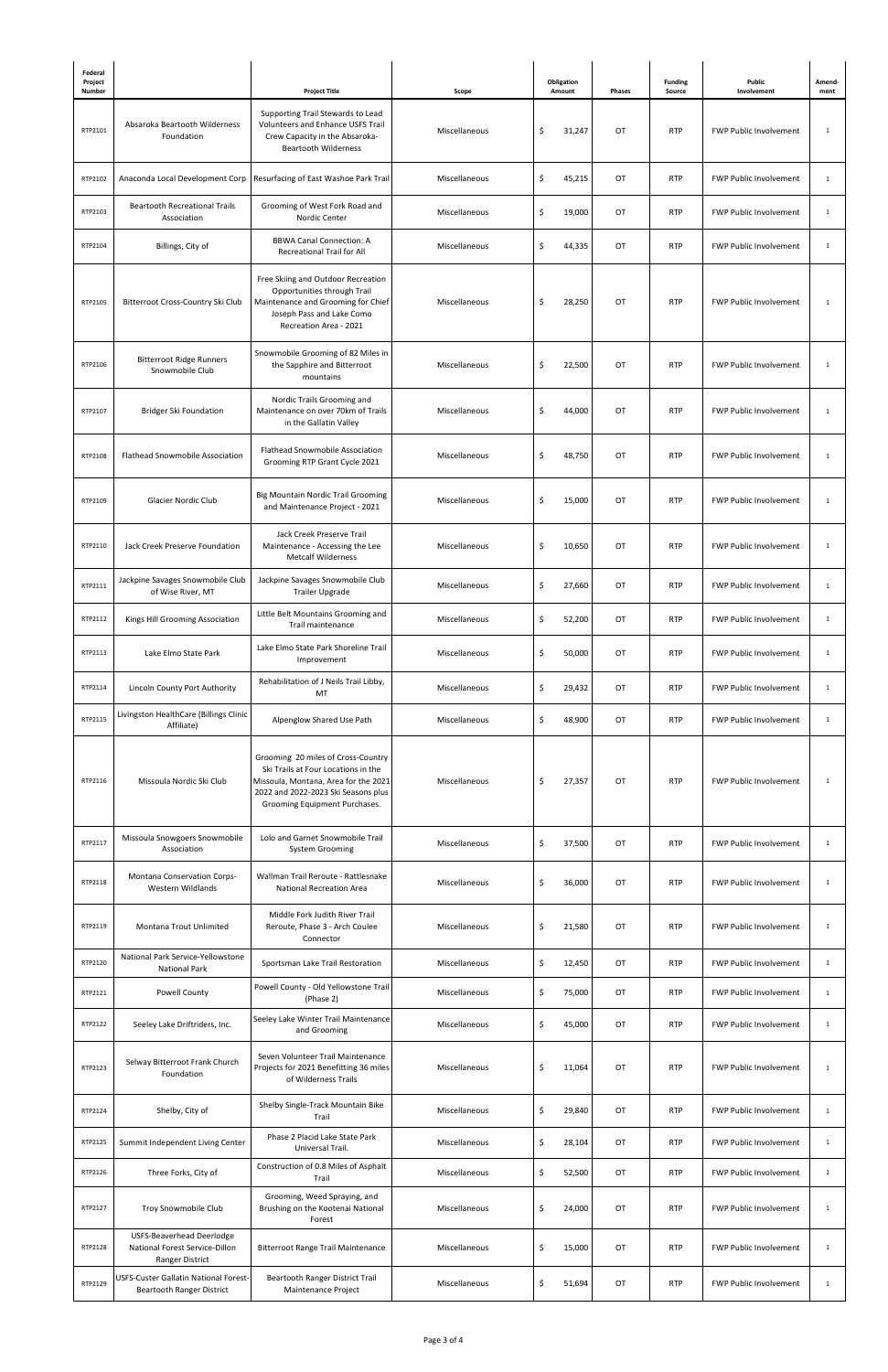| Federal<br>Project<br>Number |                                                                                | <b>Project Title</b>                                                                                                                                                                      | Scope         | Obligation<br>Amount | Phases    | <b>Funding</b><br>Source | Public<br>Involvement         | Amend-<br>ment |
|------------------------------|--------------------------------------------------------------------------------|-------------------------------------------------------------------------------------------------------------------------------------------------------------------------------------------|---------------|----------------------|-----------|--------------------------|-------------------------------|----------------|
| RTP2101                      | Absaroka Beartooth Wilderness<br>Foundation                                    | Supporting Trail Stewards to Lead<br>Volunteers and Enhance USFS Trail<br>Crew Capacity in the Absaroka-<br><b>Beartooth Wilderness</b>                                                   | Miscellaneous | \$<br>31,247         | OT        | <b>RTP</b>               | <b>FWP Public Involvement</b> | $\mathbf{1}$   |
| RTP2102                      | Anaconda Local Development Corp                                                | Resurfacing of East Washoe Park Trail                                                                                                                                                     | Miscellaneous | \$<br>45,215         | OT        | <b>RTP</b>               | <b>FWP Public Involvement</b> | $\mathbf{1}$   |
| RTP2103                      | <b>Beartooth Recreational Trails</b><br>Association                            | Grooming of West Fork Road and<br>Nordic Center                                                                                                                                           | Miscellaneous | \$<br>19,000         | OT        | <b>RTP</b>               | <b>FWP Public Involvement</b> | $\mathbf{1}$   |
| RTP2104                      | Billings, City of                                                              | <b>BBWA Canal Connection: A</b><br><b>Recreational Trail for All</b>                                                                                                                      | Miscellaneous | \$<br>44,335         | OT        | <b>RTP</b>               | <b>FWP Public Involvement</b> | $\mathbf{1}$   |
| RTP2105                      | Bitterroot Cross-Country Ski Club                                              | Free Skiing and Outdoor Recreation<br>Opportunities through Trail<br>Maintenance and Grooming for Chief<br>Joseph Pass and Lake Como<br>Recreation Area - 2021                            | Miscellaneous | \$<br>28,250         | OT        | <b>RTP</b>               | <b>FWP Public Involvement</b> | $\mathbf{1}$   |
| RTP2106                      | <b>Bitterroot Ridge Runners</b><br>Snowmobile Club                             | Snowmobile Grooming of 82 Miles in<br>the Sapphire and Bitterroot<br>mountains                                                                                                            | Miscellaneous | \$<br>22,500         | OT        | <b>RTP</b>               | <b>FWP Public Involvement</b> | $\mathbf{1}$   |
| RTP2107                      | <b>Bridger Ski Foundation</b>                                                  | Nordic Trails Grooming and<br>Maintenance on over 70km of Trails<br>in the Gallatin Valley                                                                                                | Miscellaneous | Ś<br>44,000          | OT        | <b>RTP</b>               | <b>FWP Public Involvement</b> | $\mathbf{1}$   |
| RTP2108                      | <b>Flathead Snowmobile Association</b>                                         | <b>Flathead Snowmobile Association</b><br>Grooming RTP Grant Cycle 2021                                                                                                                   | Miscellaneous | \$<br>48,750         | OT        | <b>RTP</b>               | <b>FWP Public Involvement</b> | $\mathbf{1}$   |
| RTP2109                      | Glacier Nordic Club                                                            | <b>Big Mountain Nordic Trail Grooming</b><br>and Maintenance Project - 2021                                                                                                               | Miscellaneous | \$<br>15,000         | OT        | <b>RTP</b>               | <b>FWP Public Involvement</b> | $\mathbf{1}$   |
| RTP2110                      | Jack Creek Preserve Foundation                                                 | Jack Creek Preserve Trail<br>Maintenance - Accessing the Lee<br><b>Metcalf Wilderness</b>                                                                                                 | Miscellaneous | \$<br>10,650         | OT        | <b>RTP</b>               | <b>FWP Public Involvement</b> | $\mathbf{1}$   |
| RTP2111                      | Jackpine Savages Snowmobile Club<br>of Wise River, MT                          | Jackpine Savages Snowmobile Club<br>Trailer Upgrade                                                                                                                                       | Miscellaneous | \$<br>27,660         | OT        | <b>RTP</b>               | <b>FWP Public Involvement</b> | $\mathbf{1}$   |
| RTP2112                      | Kings Hill Grooming Association                                                | Little Belt Mountains Grooming and<br>Trail maintenance                                                                                                                                   | Miscellaneous | \$<br>52,200         | OT        | <b>RTP</b>               | <b>FWP Public Involvement</b> | $\mathbf{1}$   |
| RTP2113                      | Lake Elmo State Park                                                           | Lake Elmo State Park Shoreline Trail<br>Improvement                                                                                                                                       | Miscellaneous | \$<br>50,000         | OT        | <b>RTP</b>               | <b>FWP Public Involvement</b> | $\mathbf{1}$   |
| RTP2114                      | Lincoln County Port Authority                                                  | Rehabilitation of J Neils Trail Libby,<br>MT                                                                                                                                              | Miscellaneous | \$<br>29,432         | OT        | <b>RTP</b>               | <b>FWP Public Involvement</b> | $\mathbf{1}$   |
| RTP2115                      | Livingston HealthCare (Billings Clinic<br>Affiliate)                           | Alpenglow Shared Use Path                                                                                                                                                                 | Miscellaneous | \$<br>48,900         | OT        | <b>RTP</b>               | <b>FWP Public Involvement</b> | $\mathbf{1}$   |
| RTP2116                      | Missoula Nordic Ski Club                                                       | Grooming 20 miles of Cross-Country<br>Ski Trails at Four Locations in the<br>Missoula, Montana, Area for the 2021<br>2022 and 2022-2023 Ski Seasons plus<br>Grooming Equipment Purchases. | Miscellaneous | \$<br>27,357         | <b>OT</b> | <b>RTP</b>               | <b>FWP Public Involvement</b> | 1              |
| RTP2117                      | Missoula Snowgoers Snowmobile<br>Association                                   | Lolo and Garnet Snowmobile Trail<br><b>System Grooming</b>                                                                                                                                | Miscellaneous | \$<br>37,500         | OT        | <b>RTP</b>               | <b>FWP Public Involvement</b> | $\mathbf{1}$   |
| RTP2118                      | Montana Conservation Corps-<br>Western Wildlands                               | Wallman Trail Reroute - Rattlesnake<br>National Recreation Area                                                                                                                           | Miscellaneous | \$<br>36,000         | OT        | <b>RTP</b>               | <b>FWP Public Involvement</b> | $\mathbf{1}$   |
| RTP2119                      | Montana Trout Unlimited                                                        | Middle Fork Judith River Trail<br>Reroute, Phase 3 - Arch Coulee<br>Connector                                                                                                             | Miscellaneous | \$<br>21,580         | OT        | <b>RTP</b>               | <b>FWP Public Involvement</b> | $\mathbf{1}$   |
| RTP2120                      | National Park Service-Yellowstone<br><b>National Park</b>                      | Sportsman Lake Trail Restoration                                                                                                                                                          | Miscellaneous | \$<br>12,450         | OT        | <b>RTP</b>               | <b>FWP Public Involvement</b> | $\mathbf{1}$   |
| RTP2121                      | <b>Powell County</b>                                                           | Powell County - Old Yellowstone Trail<br>(Phase 2)                                                                                                                                        | Miscellaneous | \$<br>75,000         | OT        | <b>RTP</b>               | <b>FWP Public Involvement</b> | $\mathbf{1}$   |
| RTP2122                      | Seeley Lake Driftriders, Inc.                                                  | Seeley Lake Winter Trail Maintenance<br>and Grooming                                                                                                                                      | Miscellaneous | \$<br>45,000         | OT        | <b>RTP</b>               | <b>FWP Public Involvement</b> | 1              |
| RTP2123                      | Selway Bitterroot Frank Church<br>Foundation                                   | Seven Volunteer Trail Maintenance<br>Projects for 2021 Benefitting 36 miles<br>of Wilderness Trails                                                                                       | Miscellaneous | 11,064<br>\$         | OT        | <b>RTP</b>               | FWP Public Involvement        | $\mathbf{1}$   |
| RTP2124                      | Shelby, City of                                                                | Shelby Single-Track Mountain Bike<br>Trail                                                                                                                                                | Miscellaneous | \$<br>29,840         | OT        | <b>RTP</b>               | FWP Public Involvement        | $\mathbf{1}$   |
| RTP2125                      | Summit Independent Living Center                                               | Phase 2 Placid Lake State Park<br>Universal Trail.                                                                                                                                        | Miscellaneous | \$<br>28,104         | OT        | <b>RTP</b>               | FWP Public Involvement        | $\mathbf{1}$   |
| RTP2126                      | Three Forks, City of                                                           | Construction of 0.8 Miles of Asphalt<br>Trail                                                                                                                                             | Miscellaneous | \$<br>52,500         | OT        | <b>RTP</b>               | FWP Public Involvement        | 1              |
| RTP2127                      | Troy Snowmobile Club                                                           | Grooming, Weed Spraying, and<br>Brushing on the Kootenai National<br>Forest                                                                                                               | Miscellaneous | \$<br>24,000         | OT        | <b>RTP</b>               | FWP Public Involvement        | $\mathbf{1}$   |
| RTP2128                      | USFS-Beaverhead Deerlodge<br>National Forest Service-Dillon<br>Ranger District | <b>Bitterroot Range Trail Maintenance</b>                                                                                                                                                 | Miscellaneous | \$<br>15,000         | OT        | <b>RTP</b>               | <b>FWP Public Involvement</b> | $\mathbf{1}$   |
| RTP2129                      | USFS-Custer Gallatin National Forest-<br><b>Beartooth Ranger District</b>      | Beartooth Ranger District Trail<br>Maintenance Project                                                                                                                                    | Miscellaneous | \$<br>51,694         | OT        | <b>RTP</b>               | FWP Public Involvement        | $\mathbf{1}$   |